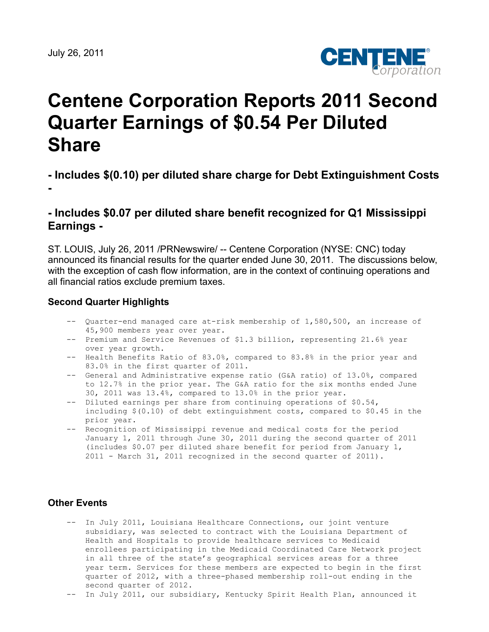

# **Centene Corporation Reports 2011 Second Quarter Earnings of \$0.54 Per Diluted Share**

# **- Includes \$(0.10) per diluted share charge for Debt Extinguishment Costs -**

## **- Includes \$0.07 per diluted share benefit recognized for Q1 Mississippi Earnings -**

ST. LOUIS, July 26, 2011 /PRNewswire/ -- Centene Corporation (NYSE: CNC) today announced its financial results for the quarter ended June 30, 2011. The discussions below, with the exception of cash flow information, are in the context of continuing operations and all financial ratios exclude premium taxes.

#### **Second Quarter Highlights**

- -- Quarter-end managed care at-risk membership of 1,580,500, an increase of 45,900 members year over year.
- -- Premium and Service Revenues of \$1.3 billion, representing 21.6% year over year growth.
- -- Health Benefits Ratio of 83.0%, compared to 83.8% in the prior year and 83.0% in the first quarter of 2011.
- -- General and Administrative expense ratio (G&A ratio) of 13.0%, compared to 12.7% in the prior year. The G&A ratio for the six months ended June 30, 2011 was 13.4%, compared to 13.0% in the prior year.
- -- Diluted earnings per share from continuing operations of \$0.54, including \$(0.10) of debt extinguishment costs, compared to \$0.45 in the prior year.
- -- Recognition of Mississippi revenue and medical costs for the period January 1, 2011 through June 30, 2011 during the second quarter of 2011 (includes \$0.07 per diluted share benefit for period from January 1, 2011 - March 31, 2011 recognized in the second quarter of 2011).

#### **Other Events**

- -- In July 2011, Louisiana Healthcare Connections, our joint venture subsidiary, was selected to contract with the Louisiana Department of Health and Hospitals to provide healthcare services to Medicaid enrollees participating in the Medicaid Coordinated Care Network project in all three of the state's geographical services areas for a three year term. Services for these members are expected to begin in the first quarter of 2012, with a three-phased membership roll-out ending in the second quarter of 2012.
- -- In July 2011, our subsidiary, Kentucky Spirit Health Plan, announced it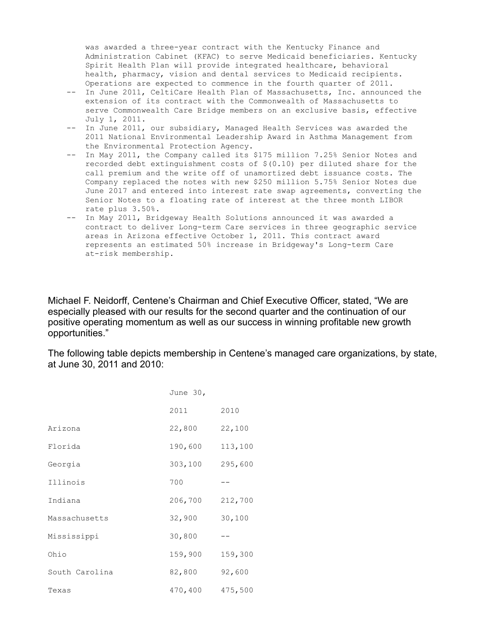was awarded a three-year contract with the Kentucky Finance and Administration Cabinet (KFAC) to serve Medicaid beneficiaries. Kentucky Spirit Health Plan will provide integrated healthcare, behavioral health, pharmacy, vision and dental services to Medicaid recipients. Operations are expected to commence in the fourth quarter of 2011.

- -- In June 2011, CeltiCare Health Plan of Massachusetts, Inc. announced the extension of its contract with the Commonwealth of Massachusetts to serve Commonwealth Care Bridge members on an exclusive basis, effective July 1, 2011.
- -- In June 2011, our subsidiary, Managed Health Services was awarded the 2011 National Environmental Leadership Award in Asthma Management from the Environmental Protection Agency.
- -- In May 2011, the Company called its \$175 million 7.25% Senior Notes and recorded debt extinguishment costs of  $$(0.10)$  per diluted share for the call premium and the write off of unamortized debt issuance costs. The Company replaced the notes with new \$250 million 5.75% Senior Notes due June 2017 and entered into interest rate swap agreements, converting the Senior Notes to a floating rate of interest at the three month LIBOR rate plus 3.50%.
- -- In May 2011, Bridgeway Health Solutions announced it was awarded a contract to deliver Long-term Care services in three geographic service areas in Arizona effective October 1, 2011. This contract award represents an estimated 50% increase in Bridgeway's Long-term Care at-risk membership.

Michael F. Neidorff, Centene's Chairman and Chief Executive Officer, stated, "We are especially pleased with our results for the second quarter and the continuation of our positive operating momentum as well as our success in winning profitable new growth opportunities."

The following table depicts membership in Centene's managed care organizations, by state, at June 30, 2011 and 2010:

|                | June 30, |         |
|----------------|----------|---------|
|                | 2011     | 2010    |
| Arizona        | 22,800   | 22,100  |
| Florida        | 190,600  | 113,100 |
| Georgia        | 303,100  | 295,600 |
| Illinois       | 700      |         |
| Indiana        | 206,700  | 212,700 |
| Massachusetts  | 32,900   | 30,100  |
| Mississippi    | 30,800   |         |
| Ohio           | 159,900  | 159,300 |
| South Carolina | 82,800   | 92,600  |
| Texas          | 470,400  | 475,500 |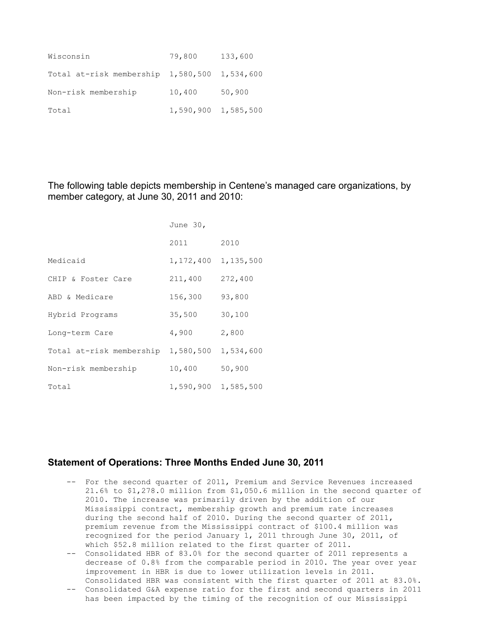| Wisconsin                                        | 79,800 | 133,600             |
|--------------------------------------------------|--------|---------------------|
| Total at-risk membership $1,580,500$ $1,534,600$ |        |                     |
| Non-risk membership                              | 10,400 | 50,900              |
| Total                                            |        | 1,590,900 1,585,500 |

The following table depicts membership in Centene's managed care organizations, by member category, at June 30, 2011 and 2010:

|                          | June 30,  |           |
|--------------------------|-----------|-----------|
|                          | 2011      | 2010      |
| Medicaid                 | 1,172,400 | 1,135,500 |
| CHIP & Foster Care       | 211,400   | 272,400   |
| ABD & Medicare           | 156,300   | 93,800    |
| Hybrid Programs          | 35,500    | 30,100    |
| Long-term Care           | 4,900     | 2,800     |
| Total at-risk membership | 1,580,500 | 1,534,600 |
| Non-risk membership      | 10,400    | 50,900    |
| Total                    | 1,590,900 | 1,585,500 |

#### **Statement of Operations: Three Months Ended June 30, 2011**

- -- For the second quarter of 2011, Premium and Service Revenues increased 21.6% to \$1,278.0 million from \$1,050.6 million in the second quarter of 2010. The increase was primarily driven by the addition of our Mississippi contract, membership growth and premium rate increases during the second half of 2010. During the second quarter of 2011, premium revenue from the Mississippi contract of \$100.4 million was recognized for the period January 1, 2011 through June 30, 2011, of which \$52.8 million related to the first quarter of 2011.
- -- Consolidated HBR of 83.0% for the second quarter of 2011 represents a decrease of 0.8% from the comparable period in 2010. The year over year improvement in HBR is due to lower utilization levels in 2011.
- Consolidated HBR was consistent with the first quarter of 2011 at 83.0%. -- Consolidated G&A expense ratio for the first and second quarters in 2011 has been impacted by the timing of the recognition of our Mississippi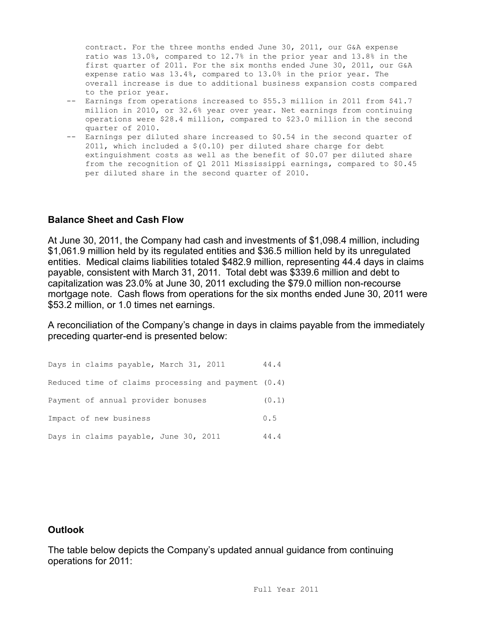contract. For the three months ended June 30, 2011, our G&A expense ratio was 13.0%, compared to 12.7% in the prior year and 13.8% in the first quarter of 2011. For the six months ended June 30, 2011, our G&A expense ratio was 13.4%, compared to 13.0% in the prior year. The overall increase is due to additional business expansion costs compared to the prior year.

- -- Earnings from operations increased to \$55.3 million in 2011 from \$41.7 million in 2010, or 32.6% year over year. Net earnings from continuing operations were \$28.4 million, compared to \$23.0 million in the second quarter of 2010.
- -- Earnings per diluted share increased to \$0.54 in the second quarter of 2011, which included a \$(0.10) per diluted share charge for debt extinguishment costs as well as the benefit of \$0.07 per diluted share from the recognition of Q1 2011 Mississippi earnings, compared to \$0.45 per diluted share in the second quarter of 2010.

#### **Balance Sheet and Cash Flow**

At June 30, 2011, the Company had cash and investments of \$1,098.4 million, including \$1,061.9 million held by its regulated entities and \$36.5 million held by its unregulated entities. Medical claims liabilities totaled \$482.9 million, representing 44.4 days in claims payable, consistent with March 31, 2011. Total debt was \$339.6 million and debt to capitalization was 23.0% at June 30, 2011 excluding the \$79.0 million non-recourse mortgage note. Cash flows from operations for the six months ended June 30, 2011 were \$53.2 million, or 1.0 times net earnings.

A reconciliation of the Company's change in days in claims payable from the immediately preceding quarter-end is presented below:

Days in claims payable, March 31, 2011 44.4 Reduced time of claims processing and payment (0.4) Payment of annual provider bonuses (0.1) Impact of new business 0.5 Days in claims payable, June 30, 2011 44.4

### **Outlook**

The table below depicts the Company's updated annual guidance from continuing operations for 2011: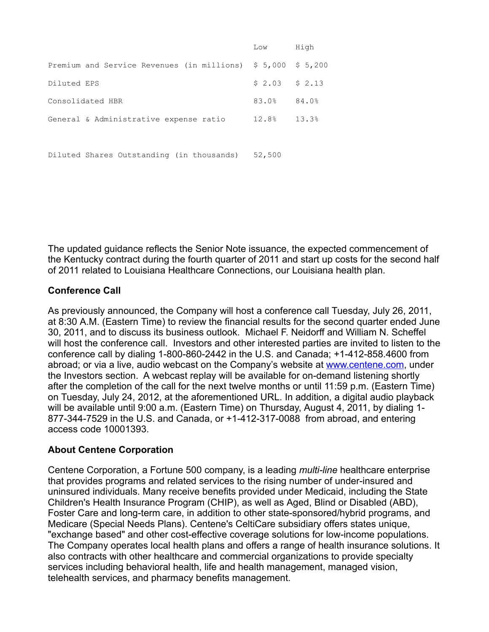|                                                              | Low             | High  |
|--------------------------------------------------------------|-----------------|-------|
| Premium and Service Revenues (in millions) $$5,000$ $$5,200$ |                 |       |
| Diluted EPS                                                  | $$2.03$ $$2.13$ |       |
| Consolidated HBR                                             | 83.0%           | 84.0% |
| General & Administrative expense ratio                       | 12.8% 13.3%     |       |
|                                                              |                 |       |

Diluted Shares Outstanding (in thousands) 52,500

The updated guidance reflects the Senior Note issuance, the expected commencement of the Kentucky contract during the fourth quarter of 2011 and start up costs for the second half of 2011 related to Louisiana Healthcare Connections, our Louisiana health plan.

## **Conference Call**

As previously announced, the Company will host a conference call Tuesday, July 26, 2011, at 8:30 A.M. (Eastern Time) to review the financial results for the second quarter ended June 30, 2011, and to discuss its business outlook. Michael F. Neidorff and William N. Scheffel will host the conference call. Investors and other interested parties are invited to listen to the conference call by dialing 1-800-860-2442 in the U.S. and Canada; +1-412-858.4600 from abroad; or via a live, audio webcast on the Company's website at [www.centene.com](http://www.centene.com/), under the Investors section. A webcast replay will be available for on-demand listening shortly after the completion of the call for the next twelve months or until 11:59 p.m. (Eastern Time) on Tuesday, July 24, 2012, at the aforementioned URL. In addition, a digital audio playback will be available until 9:00 a.m. (Eastern Time) on Thursday, August 4, 2011, by dialing 1- 877-344-7529 in the U.S. and Canada, or +1-412-317-0088 from abroad, and entering access code 10001393.

### **About Centene Corporation**

Centene Corporation, a Fortune 500 company, is a leading *multi-line* healthcare enterprise that provides programs and related services to the rising number of under-insured and uninsured individuals. Many receive benefits provided under Medicaid, including the State Children's Health Insurance Program (CHIP), as well as Aged, Blind or Disabled (ABD), Foster Care and long-term care, in addition to other state-sponsored/hybrid programs, and Medicare (Special Needs Plans). Centene's CeltiCare subsidiary offers states unique, "exchange based" and other cost-effective coverage solutions for low-income populations. The Company operates local health plans and offers a range of health insurance solutions. It also contracts with other healthcare and commercial organizations to provide specialty services including behavioral health, life and health management, managed vision, telehealth services, and pharmacy benefits management.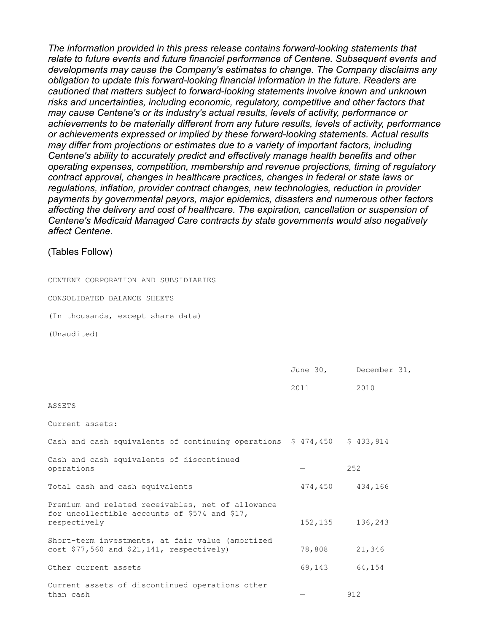*The information provided in this press release contains forward-looking statements that relate to future events and future financial performance of Centene. Subsequent events and developments may cause the Company's estimates to change. The Company disclaims any obligation to update this forward-looking financial information in the future. Readers are cautioned that matters subject to forward-looking statements involve known and unknown risks and uncertainties, including economic, regulatory, competitive and other factors that may cause Centene's or its industry's actual results, levels of activity, performance or achievements to be materially different from any future results, levels of activity, performance or achievements expressed or implied by these forward-looking statements. Actual results may differ from projections or estimates due to a variety of important factors, including Centene's ability to accurately predict and effectively manage health benefits and other operating expenses, competition, membership and revenue projections, timing of regulatory contract approval, changes in healthcare practices, changes in federal or state laws or regulations, inflation, provider contract changes, new technologies, reduction in provider payments by governmental payors, major epidemics, disasters and numerous other factors affecting the delivery and cost of healthcare. The expiration, cancellation or suspension of Centene's Medicaid Managed Care contracts by state governments would also negatively affect Centene.*

#### (Tables Follow)

CENTENE CORPORATION AND SUBSIDIARIES

CONSOLIDATED BALANCE SHEETS

(In thousands, except share data)

(Unaudited)

|                                                                                                                    |        | June 30, December 31, |
|--------------------------------------------------------------------------------------------------------------------|--------|-----------------------|
|                                                                                                                    | 2011   | 2010                  |
| ASSETS                                                                                                             |        |                       |
| Current assets:                                                                                                    |        |                       |
| Cash and cash equivalents of continuing operations \$ 474,450 \$ 433,914                                           |        |                       |
| Cash and cash equivalents of discontinued<br>operations                                                            |        | 252                   |
| Total cash and cash equivalents                                                                                    |        | 474,450 434,166       |
| Premium and related receivables, net of allowance<br>for uncollectible accounts of \$574 and \$17,<br>respectively |        | 152, 135 136, 243     |
| Short-term investments, at fair value (amortized<br>$cost$ \$77,560 and \$21,141, respectively)                    | 78,808 | 21,346                |
| Other current assets                                                                                               | 69,143 | 64,154                |
| Current assets of discontinued operations other<br>than cash                                                       |        | 912                   |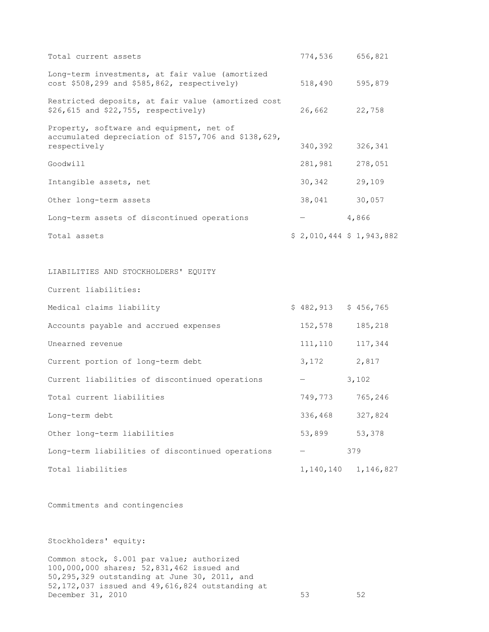| Total current assets                                                                                             | 774,536 656,821         |     |           |
|------------------------------------------------------------------------------------------------------------------|-------------------------|-----|-----------|
| Long-term investments, at fair value (amortized<br>cost \$508,299 and \$585,862, respectively)                   | 518,490 595,879         |     |           |
| Restricted deposits, at fair value (amortized cost<br>\$26,615 and \$22,755, respectively)                       | 26,662 22,758           |     |           |
| Property, software and equipment, net of<br>accumulated depreciation of \$157,706 and \$138,629,<br>respectively | 340,392                 |     | 326,341   |
| Goodwill                                                                                                         | 281,981                 |     | 278,051   |
| Intangible assets, net                                                                                           | 30, 342 29, 109         |     |           |
| Other long-term assets                                                                                           | 38,041 30,057           |     |           |
| Long-term assets of discontinued operations                                                                      | $-4,866$                |     |           |
| Total assets                                                                                                     | \$2,010,444 \$1,943,882 |     |           |
|                                                                                                                  |                         |     |           |
| LIABILITIES AND STOCKHOLDERS' EQUITY                                                                             |                         |     |           |
| Current liabilities:                                                                                             |                         |     |           |
| Medical claims liability                                                                                         | $$482,913$ $$456,765$   |     |           |
| Accounts payable and accrued expenses                                                                            | 152,578                 |     | 185,218   |
| Unearned revenue                                                                                                 | 111,110                 |     | 117,344   |
| Current portion of long-term debt                                                                                | 3, 172 2, 817           |     |           |
| Current liabilities of discontinued operations                                                                   | $-3,102$                |     |           |
| Total current liabilities                                                                                        | 749,773 765,246         |     |           |
| Long-term debt                                                                                                   | 336,468                 |     | 327,824   |
| Other long-term liabilities                                                                                      | 53,899                  |     | 53,378    |
| Long-term liabilities of discontinued operations                                                                 |                         | 379 |           |
| Total liabilities                                                                                                | 1,140,140               |     | 1,146,827 |

Commitments and contingencies

Stockholders' equity:

Common stock, \$.001 par value; authorized 100,000,000 shares; 52,831,462 issued and 50,295,329 outstanding at June 30, 2011, and 52,172,037 issued and 49,616,824 outstanding at December 31, 2010 53 52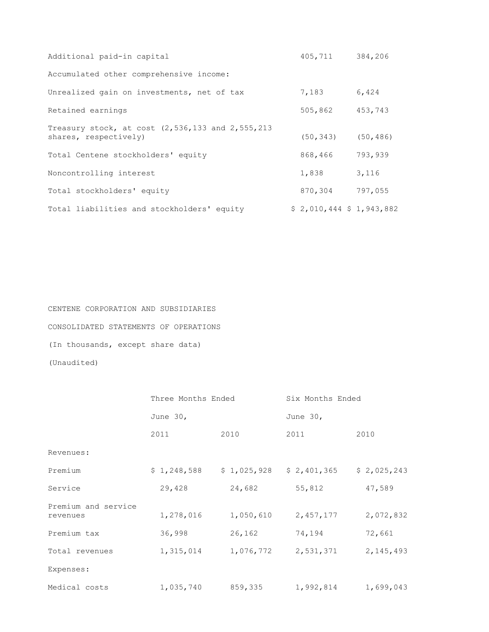| Additional paid-in capital                                                        | 405,711                   | 384,206 |
|-----------------------------------------------------------------------------------|---------------------------|---------|
| Accumulated other comprehensive income:                                           |                           |         |
| Unrealized gain on investments, net of tax                                        | 7,183                     | 6,424   |
| Retained earnings                                                                 | 505,862                   | 453,743 |
| Treasury stock, at cost $(2, 536, 133$ and $2, 555, 213$<br>shares, respectively) | $(50, 343)$ $(50, 486)$   |         |
| Total Centene stockholders' equity                                                | 868,466                   | 793,939 |
| Noncontrolling interest                                                           | 1,838                     | 3,116   |
| Total stockholders' equity                                                        | 870,304                   | 797,055 |
| Total liabilities and stockholders' equity                                        | $$2,010,444$ $$1,943,882$ |         |

CENTENE CORPORATION AND SUBSIDIARIES CONSOLIDATED STATEMENTS OF OPERATIONS (In thousands, except share data) (Unaudited)

|                                 | Three Months Ended |           | Six Months Ended          |             |  |  |  |
|---------------------------------|--------------------|-----------|---------------------------|-------------|--|--|--|
|                                 | June $30r$         |           | June 30,                  |             |  |  |  |
|                                 | 2011               | 2010      | 2011                      | 2010        |  |  |  |
| Revenues:                       |                    |           |                           |             |  |  |  |
| Premium                         | \$1,248,588        |           | $$1,025,928$ $$2,401,365$ | \$2,025,243 |  |  |  |
| Service                         | 29,428             | 24,682    | 55,812                    | 47,589      |  |  |  |
| Premium and service<br>revenues | 1,278,016          | 1,050,610 | 2,457,177                 | 2,072,832   |  |  |  |
| Premium tax                     | 36,998             | 26,162    | 74,194                    | 72,661      |  |  |  |
| Total revenues                  | 1,315,014          | 1,076,772 | 2,531,371                 | 2, 145, 493 |  |  |  |
| Expenses:                       |                    |           |                           |             |  |  |  |
| Medical costs                   | 1,035,740          | 859,335   | 1,992,814                 | 1,699,043   |  |  |  |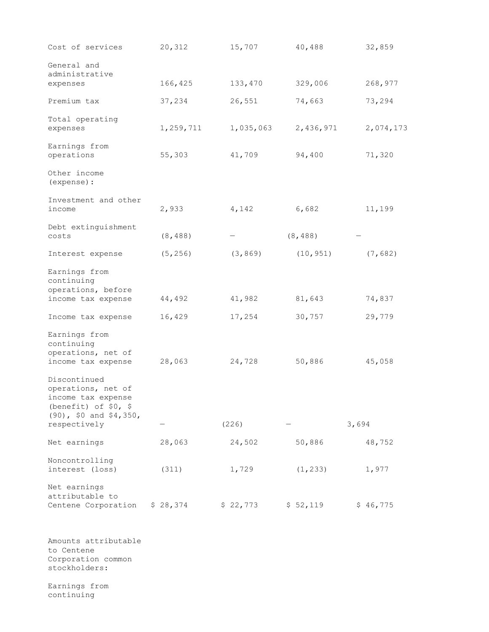| Cost of services                                                                                              | 20,312    | 15,707    | 40,488    | 32,859    |
|---------------------------------------------------------------------------------------------------------------|-----------|-----------|-----------|-----------|
| General and<br>administrative<br>expenses                                                                     | 166,425   | 133,470   | 329,006   | 268,977   |
| Premium tax                                                                                                   | 37,234    | 26,551    | 74,663    | 73,294    |
| Total operating<br>expenses                                                                                   | 1,259,711 | 1,035,063 | 2,436,971 | 2,074,173 |
| Earnings from<br>operations                                                                                   | 55,303    | 41,709    | 94,400    | 71,320    |
| Other income<br>(expense) :                                                                                   |           |           |           |           |
| Investment and other<br>income                                                                                | 2,933     | 4,142     | 6,682     | 11,199    |
| Debt extinguishment<br>costs                                                                                  | (8, 488)  |           | (8, 488)  |           |
| Interest expense                                                                                              | (5, 256)  | (3, 869)  | (10, 951) | (7,682)   |
| Earnings from<br>continuing<br>operations, before<br>income tax expense                                       | 44,492    | 41,982    | 81,643    | 74,837    |
| Income tax expense                                                                                            | 16,429    | 17,254    | 30,757    | 29,779    |
| Earnings from<br>continuing<br>operations, net of<br>income tax expense<br>Discontinued                       | 28,063    | 24,728    | 50,886    | 45,058    |
| operations, net of<br>income tax expense<br>(benefit) of $$0, $$<br>$(90)$ , \$0 and \$4,350,<br>respectively |           | (226)     |           | 3,694     |
| Net earnings                                                                                                  | 28,063    | 24,502    | 50,886    | 48,752    |
| Noncontrolling<br>interest (loss)                                                                             | (311)     | 1,729     | (1, 233)  | 1,977     |
| Net earnings<br>attributable to<br>Centene Corporation                                                        | \$28,374  | \$22,773  | \$52,119  | \$46,775  |

Amounts attributable to Centene Corporation common stockholders:

Earnings from continuing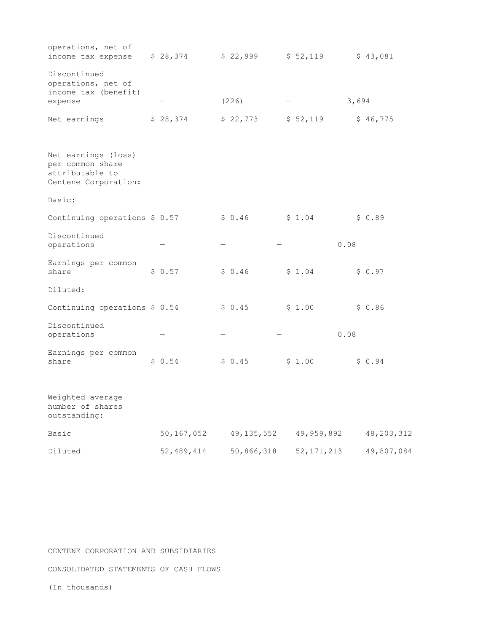| operations, net of<br>income tax expense                                           | \$28,374     | \$22,999     | \$52,119     |      |       | \$43,081     |
|------------------------------------------------------------------------------------|--------------|--------------|--------------|------|-------|--------------|
| Discontinued<br>operations, net of<br>income tax (benefit)<br>expense              |              | (226)        |              |      | 3,694 |              |
| Net earnings                                                                       | \$28,374     | \$22,773     | \$52,119     |      |       | \$46,775     |
| Net earnings (loss)<br>per common share<br>attributable to<br>Centene Corporation: |              |              |              |      |       |              |
| Basic:                                                                             |              |              |              |      |       |              |
| Continuing operations \$ 0.57                                                      |              | \$0.46       | \$1.04       |      |       | \$0.89       |
| Discontinued<br>operations                                                         |              |              |              | 0.08 |       |              |
| Earnings per common<br>share                                                       | \$0.57       | \$0.46       | \$1.04       |      |       | \$0.97       |
| Diluted:                                                                           |              |              |              |      |       |              |
| Continuing operations \$ 0.54                                                      |              | \$0.45       | \$1.00       |      |       | \$0.86       |
| Discontinued<br>operations                                                         |              |              |              | 0.08 |       |              |
| Earnings per common<br>share                                                       | \$0.54       | \$0.45       | \$1.00       |      |       | \$0.94       |
| Weighted average<br>number of shares<br>outstanding:                               |              |              |              |      |       |              |
| Basic                                                                              | 50, 167, 052 | 49, 135, 552 | 49,959,892   |      |       | 48, 203, 312 |
| Diluted                                                                            | 52, 489, 414 | 50,866,318   | 52, 171, 213 |      |       | 49,807,084   |

CENTENE CORPORATION AND SUBSIDIARIES

CONSOLIDATED STATEMENTS OF CASH FLOWS

(In thousands)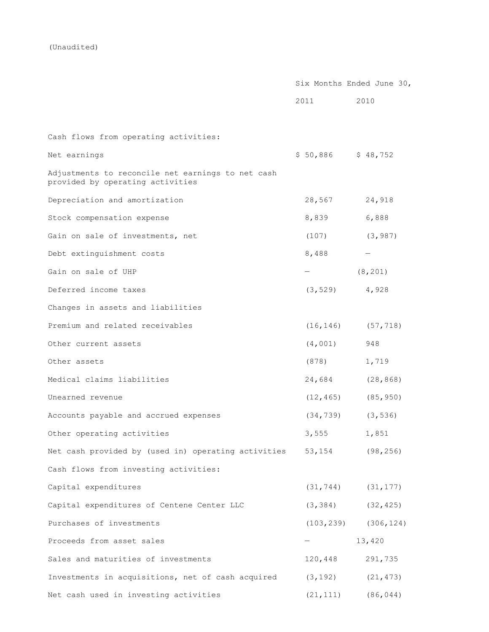(Unaudited)

|                                                                                       | Six Months Ended June 30, |                         |  |
|---------------------------------------------------------------------------------------|---------------------------|-------------------------|--|
|                                                                                       | 2011                      | 2010                    |  |
|                                                                                       |                           |                         |  |
| Cash flows from operating activities:                                                 |                           |                         |  |
| Net earnings                                                                          | \$50,886                  | \$48,752                |  |
| Adjustments to reconcile net earnings to net cash<br>provided by operating activities |                           |                         |  |
| Depreciation and amortization                                                         | 28,567                    | 24,918                  |  |
| Stock compensation expense                                                            | 8,839                     | 6,888                   |  |
| Gain on sale of investments, net                                                      | (107)                     | (3, 987)                |  |
| Debt extinguishment costs                                                             | 8,488                     | $\qquad \qquad -$       |  |
| Gain on sale of UHP                                                                   |                           | (8, 201)                |  |
| Deferred income taxes                                                                 | (3, 529)                  | 4,928                   |  |
| Changes in assets and liabilities                                                     |                           |                         |  |
| Premium and related receivables                                                       | (16, 146)                 | (57, 718)               |  |
| Other current assets                                                                  | (4,001)                   | 948                     |  |
| Other assets                                                                          | (878)                     | 1,719                   |  |
| Medical claims liabilities                                                            | 24,684                    | (28, 868)               |  |
| Unearned revenue                                                                      | (12, 465)                 | (85, 950)               |  |
| Accounts payable and accrued expenses                                                 | (34, 739)                 | (3, 536)                |  |
| Other operating activities                                                            | 3,555                     | 1,851                   |  |
| Net cash provided by (used in) operating activities 53,154 (98,256)                   |                           |                         |  |
| Cash flows from investing activities:                                                 |                           |                         |  |
| Capital expenditures                                                                  |                           | $(31, 744)$ $(31, 177)$ |  |
| Capital expenditures of Centene Center LLC                                            | (3, 384)                  | (32, 425)               |  |
| Purchases of investments                                                              | (103, 239)                | (306, 124)              |  |
| Proceeds from asset sales                                                             |                           | 13,420                  |  |
| Sales and maturities of investments                                                   | 120,448                   | 291,735                 |  |
| Investments in acquisitions, net of cash acquired                                     | (3, 192)                  | (21, 473)               |  |
| Net cash used in investing activities                                                 | (21, 111)                 | (86, 044)               |  |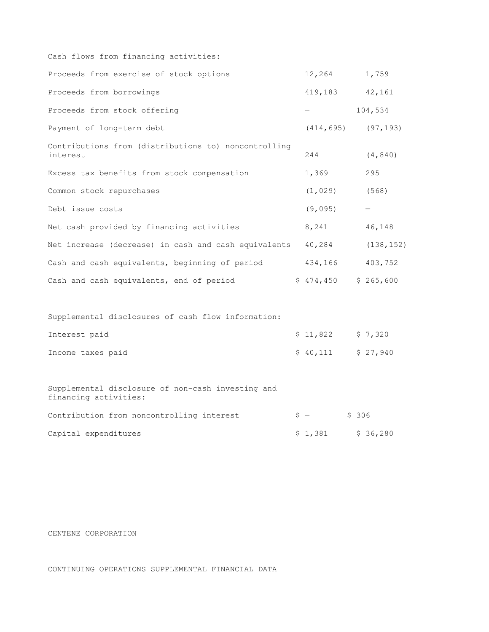| 12,264   |                                                      | 1,759                                                                          |
|----------|------------------------------------------------------|--------------------------------------------------------------------------------|
|          |                                                      |                                                                                |
|          |                                                      | 104,534                                                                        |
|          |                                                      |                                                                                |
| 244      |                                                      | (4, 840)                                                                       |
| 1,369    |                                                      | 295                                                                            |
| (1, 029) |                                                      | (568)                                                                          |
| (9,095)  |                                                      |                                                                                |
| 8,241    |                                                      | 46,148                                                                         |
| 40,284   |                                                      | (138, 152)                                                                     |
|          |                                                      | 403,752                                                                        |
|          |                                                      |                                                                                |
|          |                                                      |                                                                                |
|          |                                                      |                                                                                |
|          | Net increase (decrease) in cash and cash equivalents | 419,183 42,161<br>$(414, 695)$ $(97, 193)$<br>434,166<br>$$474,450$ $$265,600$ |

| Interest paid     | \$11,822 \$7,320    |  |
|-------------------|---------------------|--|
| Income taxes paid | $$40.111$ $$27.940$ |  |

Supplemental disclosure of non-cash investing and financing activities: Contribution from noncontrolling interest  $$ -$  \$ 306 Capital expenditures  $\begin{array}{ccc} \xi & 1,381 & \xi & 36,280 \end{array}$ 

CENTENE CORPORATION

CONTINUING OPERATIONS SUPPLEMENTAL FINANCIAL DATA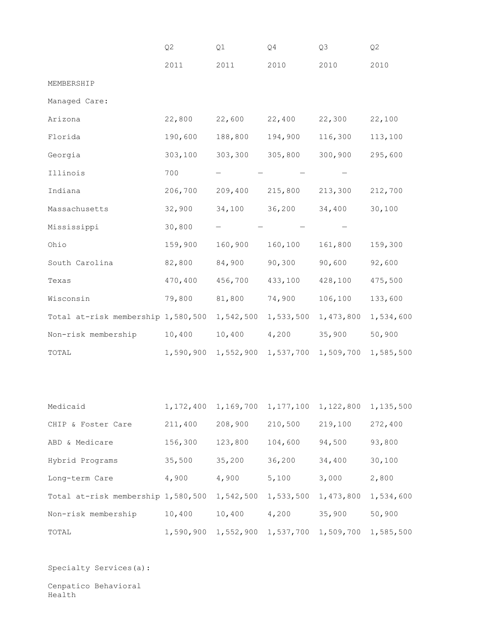|                                    | Q <sub>2</sub> | Q1                                                          | Q <sub>4</sub>      | Q3        | Q <sub>2</sub> |
|------------------------------------|----------------|-------------------------------------------------------------|---------------------|-----------|----------------|
|                                    | 2011           | 2011                                                        | 2010                | 2010      | 2010           |
| MEMBERSHIP                         |                |                                                             |                     |           |                |
| Managed Care:                      |                |                                                             |                     |           |                |
| Arizona                            | 22,800         | 22,600                                                      | 22,400              | 22,300    | 22,100         |
| Florida                            | 190,600        | 188,800                                                     | 194,900             | 116,300   | 113,100        |
| Georgia                            | 303,100        | 303,300                                                     | 305,800             | 300,900   | 295,600        |
| Illinois                           | 700            |                                                             |                     |           |                |
| Indiana                            | 206,700        | 209,400                                                     | 215,800             | 213,300   | 212,700        |
| Massachusetts                      | 32,900         | 34,100                                                      | 36,200              | 34,400    | 30,100         |
| Mississippi                        | 30,800         |                                                             |                     |           |                |
| Ohio                               | 159,900        | 160,900                                                     | 160,100             | 161,800   | 159,300        |
| South Carolina                     | 82,800         | 84,900                                                      | 90,300              | 90,600    | 92,600         |
| Texas                              | 470,400        | 456,700                                                     | 433,100             | 428,100   | 475,500        |
| Wisconsin                          | 79,800         | 81,800                                                      | 74,900              | 106,100   | 133,600        |
| Total at-risk membership 1,580,500 |                | 1,542,500                                                   | 1,533,500           | 1,473,800 | 1,534,600      |
| Non-risk membership                | 10,400         | 10,400 4,200                                                |                     | 35,900    | 50,900         |
| TOTAL                              | 1,590,900      |                                                             | 1,552,900 1,537,700 | 1,509,700 | 1,585,500      |
|                                    |                |                                                             |                     |           |                |
|                                    |                |                                                             |                     |           |                |
| Medicaid                           |                | 1, 172, 400 1, 169, 700 1, 177, 100 1, 122, 800 1, 135, 500 |                     |           |                |
| CHIP & Foster Care                 |                | 211,400 208,900                                             | 210,500             | 219,100   | 272,400        |
| ABD & Medicare                     | 156,300        | 123,800                                                     | 104,600             | 94,500    | 93,800         |
| Hybrid Programs                    | 35,500         | 35,200 36,200                                               |                     | 34,400    | 30,100         |
| Long-term Care                     | 4,900          | $4,900$ 5,100                                               |                     | 3,000     | 2,800          |
| Total at-risk membership 1,580,500 |                | 1,542,500 1,533,500                                         |                     | 1,473,800 | 1,534,600      |
| Non-risk membership                | 10,400         | 10,400 4,200                                                |                     | 35,900    | 50,900         |
| TOTAL                              |                | 1,590,900 1,552,900 1,537,700 1,509,700 1,585,500           |                     |           |                |

Specialty Services(a):

Cenpatico Behavioral Health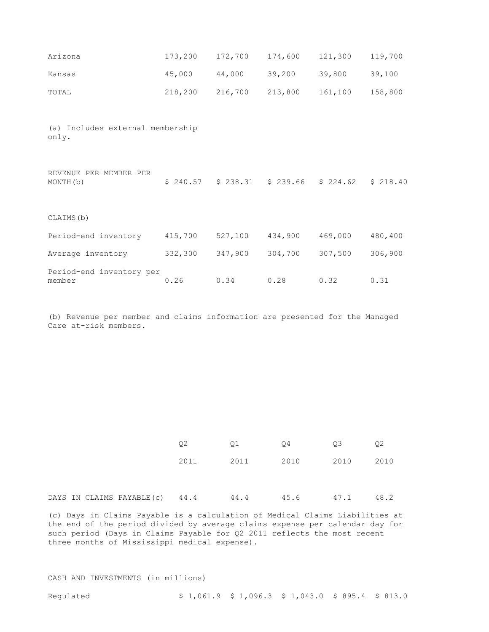| Arizona                                   | 173,200  | 172,700  | 174,600  | 121,300  | 119,700  |  |  |  |
|-------------------------------------------|----------|----------|----------|----------|----------|--|--|--|
| Kansas                                    | 45,000   | 44,000   | 39,200   | 39,800   | 39,100   |  |  |  |
| TOTAL                                     | 218,200  | 216,700  | 213,800  | 161,100  | 158,800  |  |  |  |
|                                           |          |          |          |          |          |  |  |  |
| (a) Includes external membership<br>only. |          |          |          |          |          |  |  |  |
|                                           |          |          |          |          |          |  |  |  |
| REVENUE PER MEMBER PER<br>MONTH(b)        | \$240.57 | \$238.31 | \$239.66 | \$224.62 | \$218.40 |  |  |  |
|                                           |          |          |          |          |          |  |  |  |
| CLAIMS (b)                                |          |          |          |          |          |  |  |  |
| Period-end inventory                      | 415,700  | 527,100  | 434,900  | 469,000  | 480,400  |  |  |  |
| Average inventory                         | 332,300  | 347,900  | 304,700  | 307,500  | 306,900  |  |  |  |
| Period-end inventory per<br>member        | 0.26     | 0.34     | 0.28     | 0.32     | 0.31     |  |  |  |

(b) Revenue per member and claims information are presented for the Managed Care at-risk members.

|  |                                | Q2   | Q1   | Q4             | 03   | Q2   |
|--|--------------------------------|------|------|----------------|------|------|
|  |                                | 2011 | 2011 | 2010 2010 2010 |      |      |
|  |                                |      |      |                |      |      |
|  | DAYS IN CLAIMS PAYABLE(c) 44.4 |      | 44.4 | 45.6           | 47.1 | 48.2 |

(c) Days in Claims Payable is a calculation of Medical Claims Liabilities at the end of the period divided by average claims expense per calendar day for such period (Days in Claims Payable for Q2 2011 reflects the most recent three months of Mississippi medical expense).

#### CASH AND INVESTMENTS (in millions)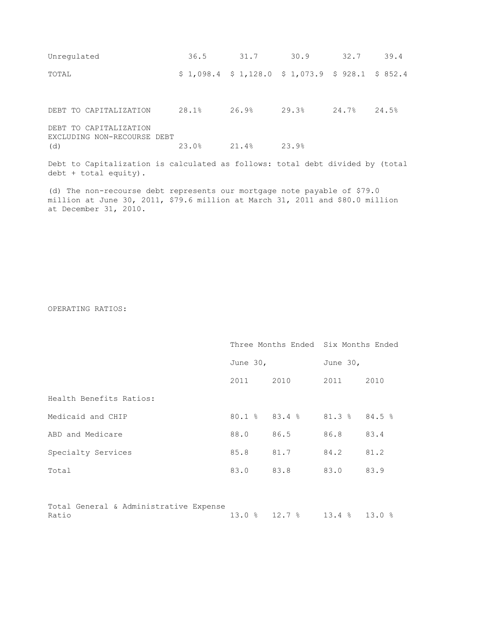| Unregulated                                                                                              | 36.5  | 31.7  | 30.9                                               | 32.7  | 39.4  |
|----------------------------------------------------------------------------------------------------------|-------|-------|----------------------------------------------------|-------|-------|
| TOTAL                                                                                                    |       |       | $$1,098.4$ $$1,128.0$ $$1,073.9$ $$928.1$ $$852.4$ |       |       |
| DEBT TO CAPITALIZATION                                                                                   | 28.1% | 26.9% | 29.3%                                              | 24.7% | 24.5% |
| DEBT TO CAPITALIZATION<br>EXCLUDING NON-RECOURSE DEBT<br>(d)                                             | 23.0% | 21.4% | 23.9%                                              |       |       |
| Debt to Capitalization is calculated as follows: total debt divided by (total<br>$debt + total$ equity). |       |       |                                                    |       |       |

(d) The non-recourse debt represents our mortgage note payable of \$79.0 million at June 30, 2011, \$79.6 million at March 31, 2011 and \$80.0 million at December 31, 2010.

OPERATING RATIOS:

|                                                 |           |                             | Three Months Ended Six Months Ended |      |
|-------------------------------------------------|-----------|-----------------------------|-------------------------------------|------|
|                                                 | June 30,  |                             | June 30,                            |      |
|                                                 | 2011 2010 |                             | 2011                                | 2010 |
| Health Benefits Ratios:                         |           |                             |                                     |      |
| Medicaid and CHIP                               |           | 80.1 % 83.4 % 81.3 % 84.5 % |                                     |      |
| ABD and Medicare                                | 88.0      | 86.5                        | 86.8                                | 83.4 |
| Specialty Services                              | 85.8      | 81.7                        | 84.2                                | 81.2 |
| Total                                           | 83.0      | 83.8                        | 83.0                                | 83.9 |
|                                                 |           |                             |                                     |      |
| Total General & Administrative Expense<br>Ratio | 13.0%     | $12.7$ % $13.4$ % $13.0$ %  |                                     |      |